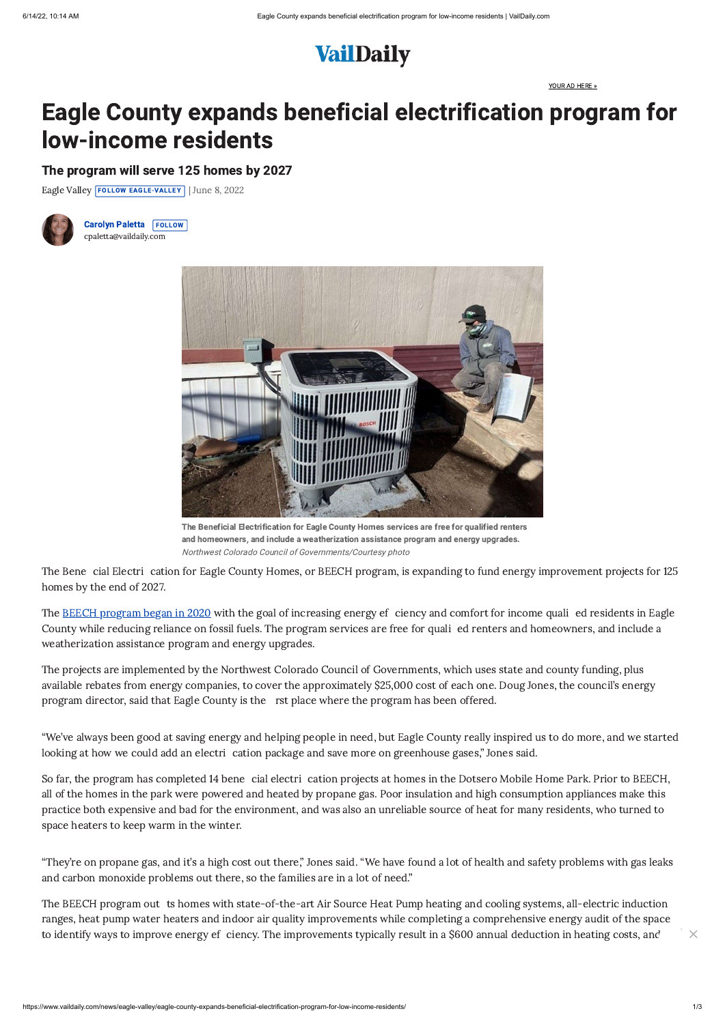[YOUR AD HERE »](https://www.vaildaily.com/your-ad-here/) 



## Eagle County expands beneficial electrification program for low-income residents

The program will serve 125 homes by 2027

[Eagle Valley](https://www.vaildaily.com/recent-stories/eagle-valley) **FOLLOW EAGLE-VALLEY** June 8, 2022



[Carolyn Paletta](https://www.vaildaily.com/profile/carolyn-paletta/) FOLLOW [cpaletta@vaildaily.com](mailto:cpaletta@vaildaily.com)



The Beneficial Electrification for Eagle County Homes services are free for qualified renters and homeowners, and include a weatherization assistance program and energy upgrades. Northwest Colorado Council of Governments/Courtesy photo

The **BEECH** program began in 2020 with the goal of increasing energy ef ciency and comfort for income quali ed residents in Eagle County while reducing reliance on fossil fuels. The program services are free for quali ed renters and homeowners, and include a weatherization assistance program and energy upgrades.

The projects are implemented by the Northwest Colorado Council of Governments, which uses state and county funding, plus available rebates from energy companies, to cover the approximately \$25,000 cost of each one. Doug Jones, the council's energy program director, said that Eagle County is the rst place where the program has been offered.

"We've always been good at saving energy and helping people in need, but Eagle County really inspired us to do more, and we started looking at how we could add an electri cation package and save more on greenhouse gases," Jones said.

The Bene cial Electri cation for Eagle County Homes, or BEECH program, is expanding to fund energy improvement projects for 125 homes by the end of 2027.

The BEECH program out ts homes with state-of-the-art Air Source Heat Pump heating and cooling systems, all-electric induction ranges, heat pump water heaters and indoor air quality improvements while completing a comprehensive energy audit of the space to identify ways to improve energy ef ciency. The improvements typically result in a \$600 annual deduction in heating costs, and  $\times$ 

So far, the program has completed 14 bene cial electri cation projects at homes in the Dotsero Mobile Home Park. Prior to BEECH, all of the homes in the park were powered and heated by propane gas. Poor insulation and high consumption appliances make this practice both expensive and bad for the environment, and was also an unreliable source of heat for many residents, who turned to space heaters to keep warm in the winter.

"They're on propane gas, and it's a high cost out there," Jones said. "We have found a lot of health and safety problems with gas leaks and carbon monoxide problems out there, so the families are in a lot of need."